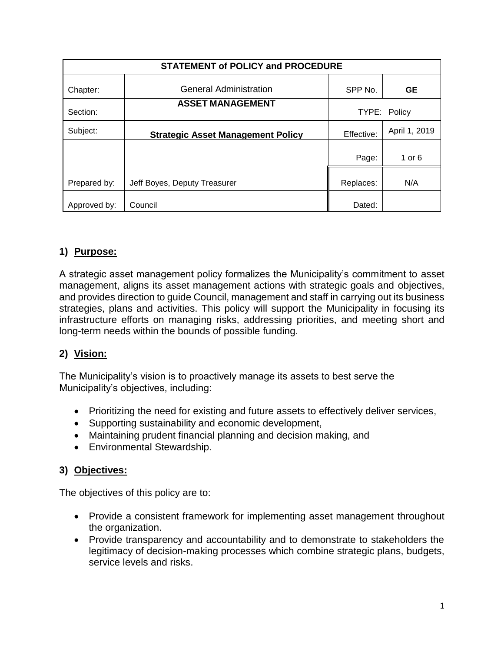| <b>STATEMENT of POLICY and PROCEDURE</b> |                                          |              |               |
|------------------------------------------|------------------------------------------|--------------|---------------|
| Chapter:                                 | <b>General Administration</b>            | SPP No.      | <b>GE</b>     |
| Section:                                 | <b>ASSET MANAGEMENT</b>                  | TYPE: Policy |               |
| Subject:                                 | <b>Strategic Asset Management Policy</b> | Effective:   | April 1, 2019 |
|                                          |                                          | Page:        | 1 or $6$      |
| Prepared by:                             | Jeff Boyes, Deputy Treasurer             | Replaces:    | N/A           |
| Approved by:                             | Council                                  | Dated:       |               |

# **1) Purpose:**

A strategic asset management policy formalizes the Municipality's commitment to asset management, aligns its asset management actions with strategic goals and objectives, and provides direction to guide Council, management and staff in carrying out its business strategies, plans and activities. This policy will support the Municipality in focusing its infrastructure efforts on managing risks, addressing priorities, and meeting short and long-term needs within the bounds of possible funding.

# **2) Vision:**

The Municipality's vision is to proactively manage its assets to best serve the Municipality's objectives, including:

- Prioritizing the need for existing and future assets to effectively deliver services,
- Supporting sustainability and economic development,
- Maintaining prudent financial planning and decision making, and
- Environmental Stewardship.

### **3) Objectives:**

The objectives of this policy are to:

- Provide a consistent framework for implementing asset management throughout the organization.
- Provide transparency and accountability and to demonstrate to stakeholders the legitimacy of decision-making processes which combine strategic plans, budgets, service levels and risks.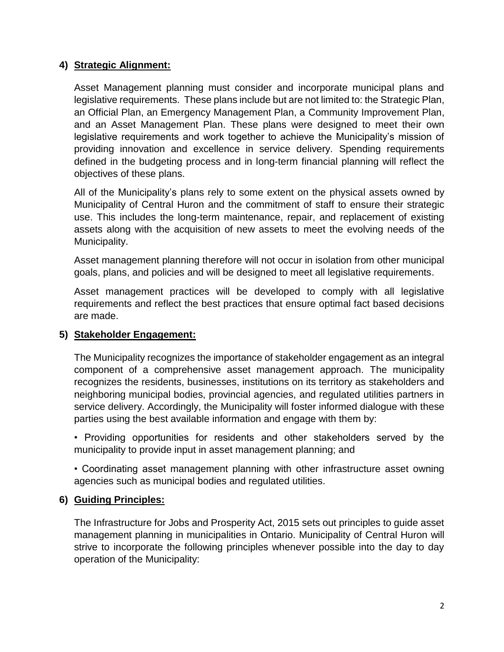### **4) Strategic Alignment:**

Asset Management planning must consider and incorporate municipal plans and legislative requirements. These plans include but are not limited to: the Strategic Plan, an Official Plan, an Emergency Management Plan, a Community Improvement Plan, and an Asset Management Plan. These plans were designed to meet their own legislative requirements and work together to achieve the Municipality's mission of providing innovation and excellence in service delivery. Spending requirements defined in the budgeting process and in long-term financial planning will reflect the objectives of these plans.

All of the Municipality's plans rely to some extent on the physical assets owned by Municipality of Central Huron and the commitment of staff to ensure their strategic use. This includes the long-term maintenance, repair, and replacement of existing assets along with the acquisition of new assets to meet the evolving needs of the Municipality.

Asset management planning therefore will not occur in isolation from other municipal goals, plans, and policies and will be designed to meet all legislative requirements.

Asset management practices will be developed to comply with all legislative requirements and reflect the best practices that ensure optimal fact based decisions are made.

### **5) Stakeholder Engagement:**

The Municipality recognizes the importance of stakeholder engagement as an integral component of a comprehensive asset management approach. The municipality recognizes the residents, businesses, institutions on its territory as stakeholders and neighboring municipal bodies, provincial agencies, and regulated utilities partners in service delivery. Accordingly, the Municipality will foster informed dialogue with these parties using the best available information and engage with them by:

• Providing opportunities for residents and other stakeholders served by the municipality to provide input in asset management planning; and

• Coordinating asset management planning with other infrastructure asset owning agencies such as municipal bodies and regulated utilities.

### **6) Guiding Principles:**

The Infrastructure for Jobs and Prosperity Act, 2015 sets out principles to guide asset management planning in municipalities in Ontario. Municipality of Central Huron will strive to incorporate the following principles whenever possible into the day to day operation of the Municipality: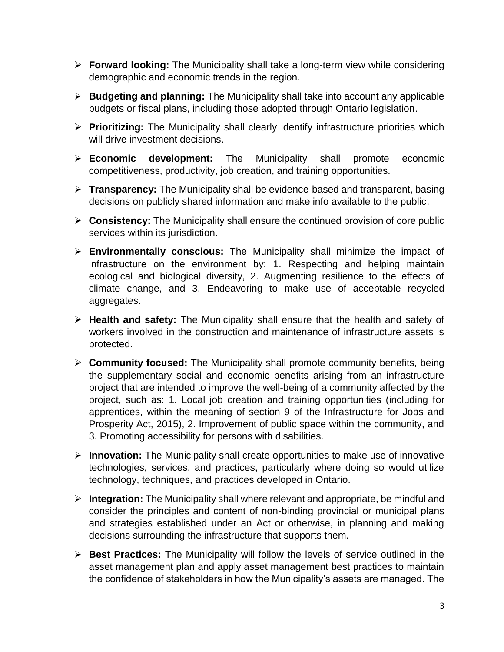- **Forward looking:** The Municipality shall take a long-term view while considering demographic and economic trends in the region.
- **Budgeting and planning:** The Municipality shall take into account any applicable budgets or fiscal plans, including those adopted through Ontario legislation.
- **Prioritizing:** The Municipality shall clearly identify infrastructure priorities which will drive investment decisions.
- **Economic development:** The Municipality shall promote economic competitiveness, productivity, job creation, and training opportunities.
- **Transparency:** The Municipality shall be evidence-based and transparent, basing decisions on publicly shared information and make info available to the public.
- **Consistency:** The Municipality shall ensure the continued provision of core public services within its jurisdiction.
- **Environmentally conscious:** The Municipality shall minimize the impact of infrastructure on the environment by: 1. Respecting and helping maintain ecological and biological diversity, 2. Augmenting resilience to the effects of climate change, and 3. Endeavoring to make use of acceptable recycled aggregates.
- **Health and safety:** The Municipality shall ensure that the health and safety of workers involved in the construction and maintenance of infrastructure assets is protected.
- **Community focused:** The Municipality shall promote community benefits, being the supplementary social and economic benefits arising from an infrastructure project that are intended to improve the well-being of a community affected by the project, such as: 1. Local job creation and training opportunities (including for apprentices, within the meaning of section 9 of the Infrastructure for Jobs and Prosperity Act, 2015), 2. Improvement of public space within the community, and 3. Promoting accessibility for persons with disabilities.
- **Innovation:** The Municipality shall create opportunities to make use of innovative technologies, services, and practices, particularly where doing so would utilize technology, techniques, and practices developed in Ontario.
- **Integration:** The Municipality shall where relevant and appropriate, be mindful and consider the principles and content of non-binding provincial or municipal plans and strategies established under an Act or otherwise, in planning and making decisions surrounding the infrastructure that supports them.
- **Best Practices:** The Municipality will follow the levels of service outlined in the asset management plan and apply asset management best practices to maintain the confidence of stakeholders in how the Municipality's assets are managed. The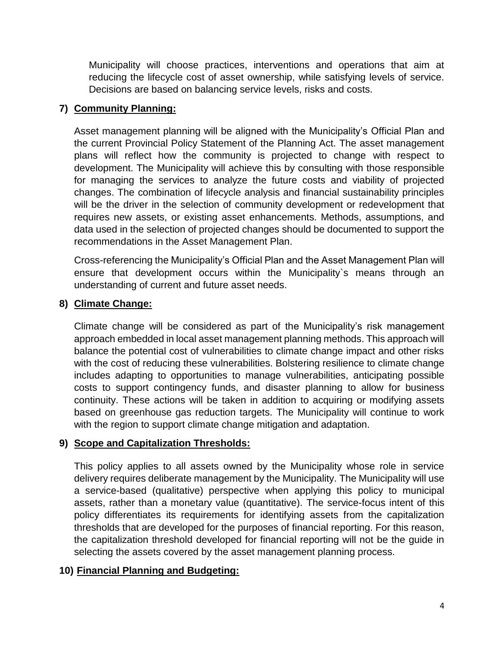Municipality will choose practices, interventions and operations that aim at reducing the lifecycle cost of asset ownership, while satisfying levels of service. Decisions are based on balancing service levels, risks and costs.

### **7) Community Planning:**

Asset management planning will be aligned with the Municipality's Official Plan and the current Provincial Policy Statement of the Planning Act. The asset management plans will reflect how the community is projected to change with respect to development. The Municipality will achieve this by consulting with those responsible for managing the services to analyze the future costs and viability of projected changes. The combination of lifecycle analysis and financial sustainability principles will be the driver in the selection of community development or redevelopment that requires new assets, or existing asset enhancements. Methods, assumptions, and data used in the selection of projected changes should be documented to support the recommendations in the Asset Management Plan.

Cross-referencing the Municipality's Official Plan and the Asset Management Plan will ensure that development occurs within the Municipality`s means through an understanding of current and future asset needs.

#### **8) Climate Change:**

Climate change will be considered as part of the Municipality's risk management approach embedded in local asset management planning methods. This approach will balance the potential cost of vulnerabilities to climate change impact and other risks with the cost of reducing these vulnerabilities. Bolstering resilience to climate change includes adapting to opportunities to manage vulnerabilities, anticipating possible costs to support contingency funds, and disaster planning to allow for business continuity. These actions will be taken in addition to acquiring or modifying assets based on greenhouse gas reduction targets. The Municipality will continue to work with the region to support climate change mitigation and adaptation.

### **9) Scope and Capitalization Thresholds:**

This policy applies to all assets owned by the Municipality whose role in service delivery requires deliberate management by the Municipality. The Municipality will use a service-based (qualitative) perspective when applying this policy to municipal assets, rather than a monetary value (quantitative). The service-focus intent of this policy differentiates its requirements for identifying assets from the capitalization thresholds that are developed for the purposes of financial reporting. For this reason, the capitalization threshold developed for financial reporting will not be the guide in selecting the assets covered by the asset management planning process.

#### **10) Financial Planning and Budgeting:**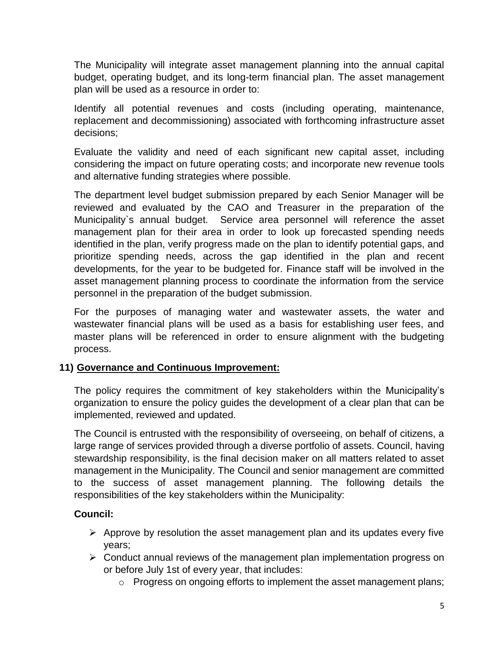The Municipality will integrate asset management planning into the annual capital budget, operating budget, and its long-term financial plan. The asset management plan will be used as a resource in order to:

Identify all potential revenues and costs (including operating, maintenance, replacement and decommissioning) associated with forthcoming infrastructure asset decisions;

Evaluate the validity and need of each significant new capital asset, including considering the impact on future operating costs; and incorporate new revenue tools and alternative funding strategies where possible.

The department level budget submission prepared by each Senior Manager will be reviewed and evaluated by the CAO and Treasurer in the preparation of the Municipality`s annual budget. Service area personnel will reference the asset management plan for their area in order to look up forecasted spending needs identified in the plan, verify progress made on the plan to identify potential gaps, and prioritize spending needs, across the gap identified in the plan and recent developments, for the year to be budgeted for. Finance staff will be involved in the asset management planning process to coordinate the information from the service personnel in the preparation of the budget submission.

For the purposes of managing water and wastewater assets, the water and wastewater financial plans will be used as a basis for establishing user fees, and master plans will be referenced in order to ensure alignment with the budgeting process.

### **11) Governance and Continuous Improvement:**

The policy requires the commitment of key stakeholders within the Municipality's organization to ensure the policy guides the development of a clear plan that can be implemented, reviewed and updated.

The Council is entrusted with the responsibility of overseeing, on behalf of citizens, a large range of services provided through a diverse portfolio of assets. Council, having stewardship responsibility, is the final decision maker on all matters related to asset management in the Municipality. The Council and senior management are committed to the success of asset management planning. The following details the responsibilities of the key stakeholders within the Municipality:

### **Council:**

- $\triangleright$  Approve by resolution the asset management plan and its updates every five years;
- $\triangleright$  Conduct annual reviews of the management plan implementation progress on or before July 1st of every year, that includes:
	- $\circ$  Progress on ongoing efforts to implement the asset management plans;